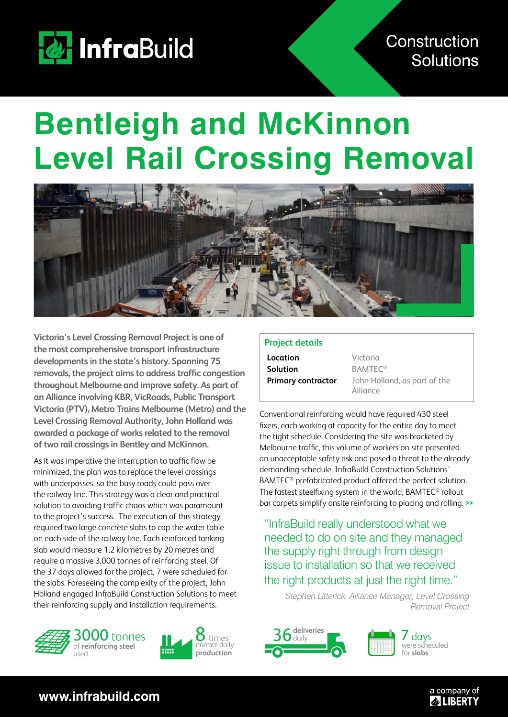

## **Bentleigh and McKinnon Level Rail Crossing Removal**



**Victoria's Level Crossing Removal Project is one of the most comprehensive transport infrastructure developments in the state's history. Spanning 75 removals, the project aims to address traffic congestion throughout Melbourne and improve safety. As part of an Alliance involving KBR, VicRoads, Public Transport Victoria (PTV), Metro Trains Melbourne (Metro) and the Level Crossing Removal Authority, John Holland was awarded a package of works related to the removal of two rail crossings in Bentley and McKinnon.**

As it was imperative the interruption to traffic flow be minimized, the plan was to replace the level crossings with underpasses, so the busy roads could pass over the railway line. This strategy was a clear and practical solution to avoiding traffic chaos which was paramount to the project's success. The execution of this strategy required two large concrete slabs to cap the water table on each side of the railway line. Each reinforced tanking slab would measure 1.2 kilometres by 20 metres and require a massive 3,000 tonnes of reinforcing steel. Of the 37 days allowed for the project, 7 were scheduled for the slabs. Foreseeing the complexity of the project, John Holland engaged InfraBuild Construction Solutions to meet their reinforcing supply and installation requirements.





## **Project details**

**Location** Victoria Solution **BAMTEC®** 

**Primary contractor** John Holland, as part of the Alliance

Conventional reinforcing would have required 430 steel fixers, each working at capacity for the entire day to meet the tight schedule. Considering the site was bracketed by Melbourne traffic, this volume of workers on-site presented an unacceptable safety risk and posed a threat to the already demanding schedule. InfraBuild Construction Solutions' BAMTEC® prefabricated product offered the perfect solution. The fastest steelfixing system in the world, BAMTEC® rollout bar carpets simplify onsite reinforcing to placing and rolling. **>>**

"InfraBuild really understood what we needed to do on site and they managed the supply right through from design issue to installation so that we received the right products at just the right time."

> Stephen Litterick, Alliance Manager, Level Crossing Removal Project





 $\prime$  davs were scheculed for **slabs**

> a company of **& LIBERTY**

**www.infrabuild.com**